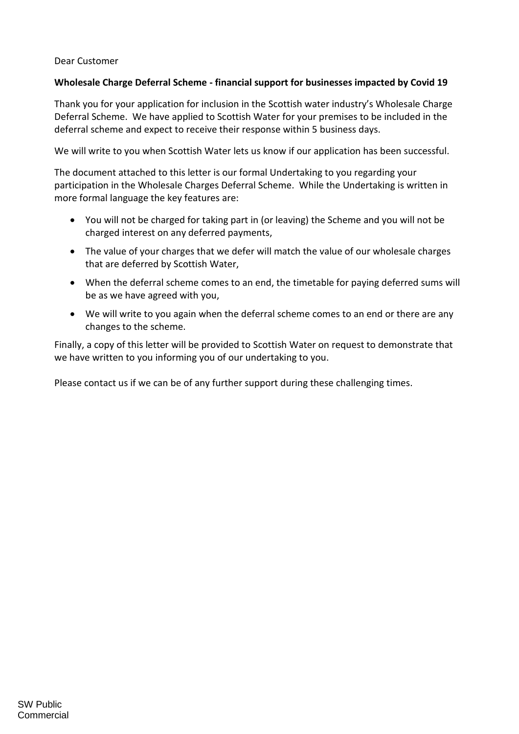## Dear Customer

## **Wholesale Charge Deferral Scheme - financial support for businesses impacted by Covid 19**

Thank you for your application for inclusion in the Scottish water industry's Wholesale Charge Deferral Scheme. We have applied to Scottish Water for your premises to be included in the deferral scheme and expect to receive their response within 5 business days.

We will write to you when Scottish Water lets us know if our application has been successful.

The document attached to this letter is our formal Undertaking to you regarding your participation in the Wholesale Charges Deferral Scheme. While the Undertaking is written in more formal language the key features are:

- You will not be charged for taking part in (or leaving) the Scheme and you will not be charged interest on any deferred payments,
- The value of your charges that we defer will match the value of our wholesale charges that are deferred by Scottish Water,
- When the deferral scheme comes to an end, the timetable for paying deferred sums will be as we have agreed with you,
- We will write to you again when the deferral scheme comes to an end or there are any changes to the scheme.

Finally, a copy of this letter will be provided to Scottish Water on request to demonstrate that we have written to you informing you of our undertaking to you.

Please contact us if we can be of any further support during these challenging times.